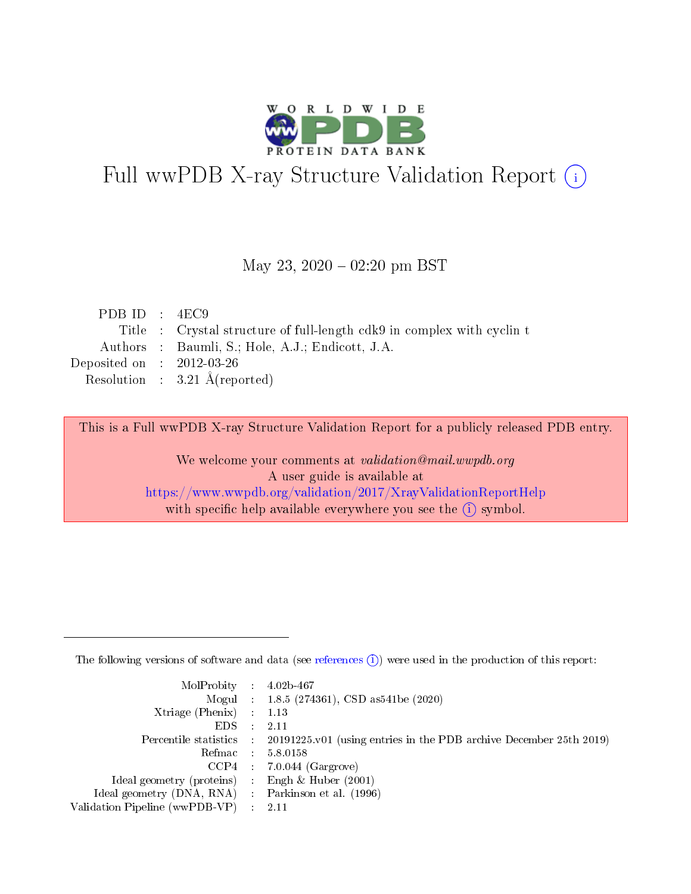

# Full wwPDB X-ray Structure Validation Report (i)

#### May 23,  $2020 - 02:20$  pm BST

| PDB ID : $4EC9$             |                                                                        |
|-----------------------------|------------------------------------------------------------------------|
|                             | Title : Crystal structure of full-length cdk9 in complex with cyclin t |
|                             | Authors : Baumli, S.; Hole, A.J.; Endicott, J.A.                       |
| Deposited on : $2012-03-26$ |                                                                        |
|                             | Resolution : $3.21 \text{ Å}$ (reported)                               |

This is a Full wwPDB X-ray Structure Validation Report for a publicly released PDB entry.

We welcome your comments at validation@mail.wwpdb.org A user guide is available at <https://www.wwpdb.org/validation/2017/XrayValidationReportHelp> with specific help available everywhere you see the  $(i)$  symbol.

The following versions of software and data (see [references](https://www.wwpdb.org/validation/2017/XrayValidationReportHelp#references)  $(1)$ ) were used in the production of this report:

| $MolProbability$ : 4.02b-467                        |                                                                                            |
|-----------------------------------------------------|--------------------------------------------------------------------------------------------|
|                                                     | Mogul : $1.8.5$ (274361), CSD as 541be (2020)                                              |
| Xtriage (Phenix) $: 1.13$                           |                                                                                            |
| EDS                                                 | -2.11                                                                                      |
|                                                     | Percentile statistics : 20191225.v01 (using entries in the PDB archive December 25th 2019) |
| Refmac 58.0158                                      |                                                                                            |
|                                                     | $CCP4$ 7.0.044 (Gargrove)                                                                  |
| Ideal geometry (proteins) : Engh $\&$ Huber (2001)  |                                                                                            |
| Ideal geometry (DNA, RNA) : Parkinson et al. (1996) |                                                                                            |
| Validation Pipeline (wwPDB-VP) : 2.11               |                                                                                            |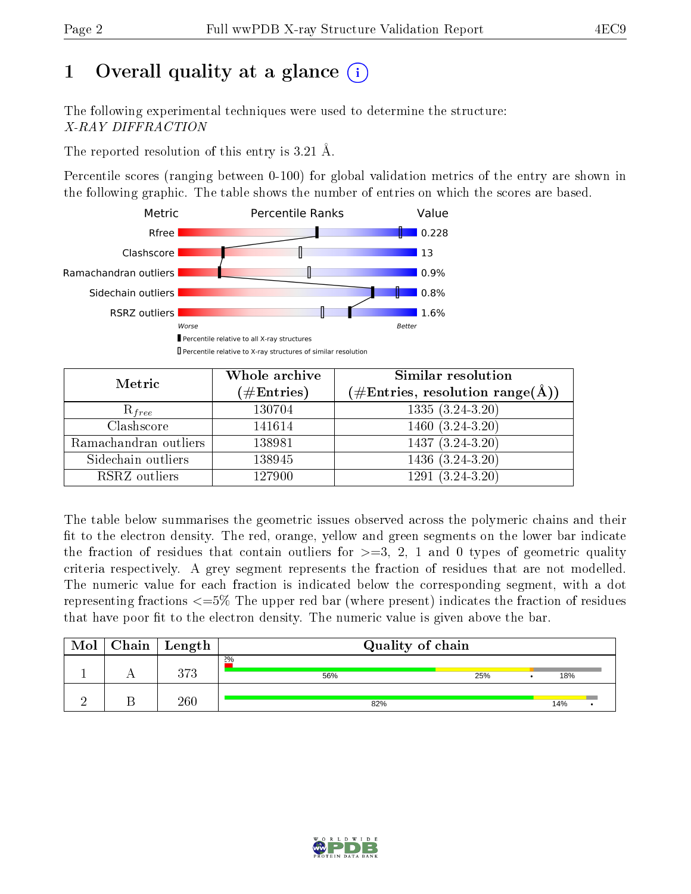# 1 [O](https://www.wwpdb.org/validation/2017/XrayValidationReportHelp#overall_quality)verall quality at a glance  $(i)$

The following experimental techniques were used to determine the structure: X-RAY DIFFRACTION

The reported resolution of this entry is 3.21 Å.

Percentile scores (ranging between 0-100) for global validation metrics of the entry are shown in the following graphic. The table shows the number of entries on which the scores are based.



| Metric                | Whole archive<br>$(\#\text{Entries})$ | <b>Similar resolution</b><br>$(\#\text{Entries}, \text{resolution range}(\text{\AA}))$ |
|-----------------------|---------------------------------------|----------------------------------------------------------------------------------------|
| $R_{free}$            | 130704                                | $1335(3.24-3.20)$                                                                      |
| Clashscore            | 141614                                | 1460 (3.24-3.20)                                                                       |
| Ramachandran outliers | 138981                                | $1437 (3.24 - 3.20)$                                                                   |
| Sidechain outliers    | 138945                                | $1436(3.24-3.20)$                                                                      |
| RSRZ outliers         | 127900                                | $1291(3.24-3.20)$                                                                      |

The table below summarises the geometric issues observed across the polymeric chains and their fit to the electron density. The red, orange, yellow and green segments on the lower bar indicate the fraction of residues that contain outliers for  $>=3, 2, 1$  and 0 types of geometric quality criteria respectively. A grey segment represents the fraction of residues that are not modelled. The numeric value for each fraction is indicated below the corresponding segment, with a dot representing fractions  $\epsilon=5\%$  The upper red bar (where present) indicates the fraction of residues that have poor fit to the electron density. The numeric value is given above the bar.

| Mol | ${\rm Chain \mid Length}$ | Quality of chain |     |     |  |  |
|-----|---------------------------|------------------|-----|-----|--|--|
|     | クワク                       | 2%<br>56%        | 25% | 18% |  |  |
|     | $_{260}$                  | 82%              |     | 14% |  |  |

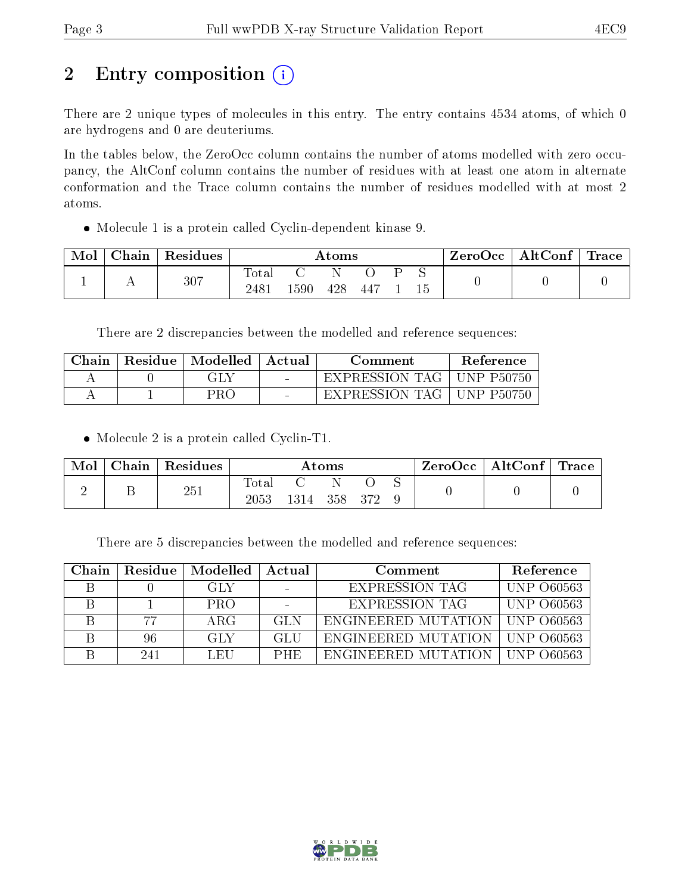# 2 Entry composition (i)

There are 2 unique types of molecules in this entry. The entry contains 4534 atoms, of which 0 are hydrogens and 0 are deuteriums.

In the tables below, the ZeroOcc column contains the number of atoms modelled with zero occupancy, the AltConf column contains the number of residues with at least one atom in alternate conformation and the Trace column contains the number of residues modelled with at most 2 atoms.

Molecule 1 is a protein called Cyclin-dependent kinase 9.

| Mol | ${\rm Chain}$ | Residues | Atoms               |     |     |     |  | ZeroOcc | $\mid$ AltConf $\mid$ Trace |  |  |
|-----|---------------|----------|---------------------|-----|-----|-----|--|---------|-----------------------------|--|--|
|     |               | 307      | $\rm Total$<br>2481 | 590 | 428 | 447 |  |         |                             |  |  |

There are 2 discrepancies between the modelled and reference sequences:

| Chain | Residue   Modelled | Actual | Comment        | Reference         |
|-------|--------------------|--------|----------------|-------------------|
|       | GLY                | $\sim$ | EXPRESSION TAG | <b>UNP P50750</b> |
|       | PR∩                |        | EXPRESSION TAG | <b>UNP P50750</b> |

• Molecule 2 is a protein called Cyclin-T1.

| Mol | $Chain   Residues$ | Atoms               |                |  |  |  | $\mid$ ZeroOcc $\mid$ AltConf $\mid$ Trace |  |
|-----|--------------------|---------------------|----------------|--|--|--|--------------------------------------------|--|
|     | 251                | $\rm Total$<br>2053 | 1314 358 372 9 |  |  |  |                                            |  |

There are 5 discrepancies between the modelled and reference sequences:

| Chain |     | Residue   Modelled | Actual     | Comment                          | Reference         |
|-------|-----|--------------------|------------|----------------------------------|-------------------|
|       |     | -GLY               |            | EXPRESSION TAG                   | <b>UNP 060563</b> |
|       |     | <b>PRO</b>         |            | <b>EXPRESSION TAG</b>            | UNP 060563        |
|       | 77  | ARG                | GL N       | ENGINEERED MUTATION              | - UNP-060563      |
|       | 96  | <b>GLY</b>         | GLU        | ENGINEERED MUTATION              | LUNP 060563       |
|       | 241 | LEU                | <b>PHE</b> | ENGINEERED MUTATION   UNP 060563 |                   |

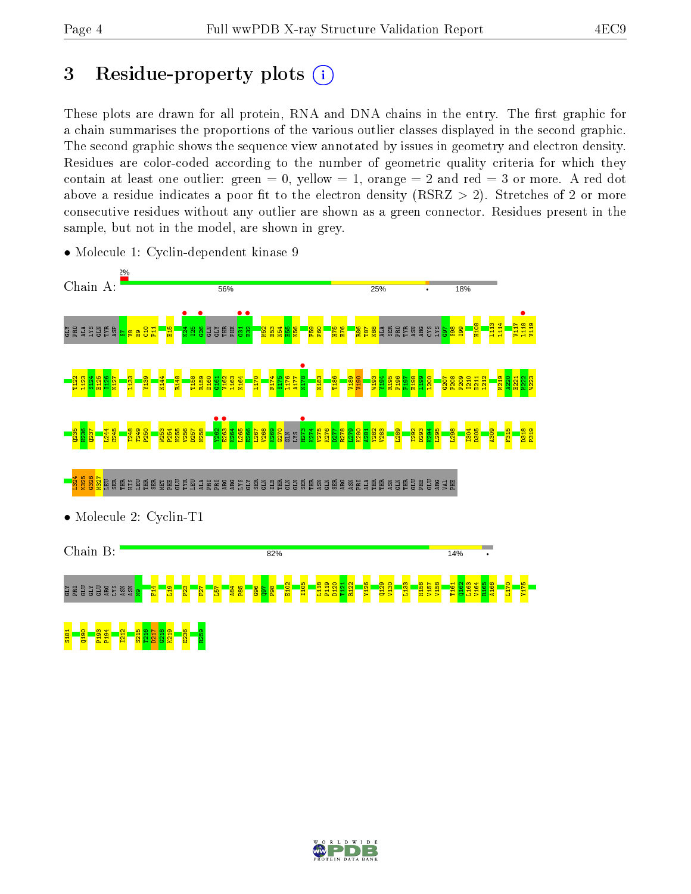## 3 Residue-property plots  $(i)$

These plots are drawn for all protein, RNA and DNA chains in the entry. The first graphic for a chain summarises the proportions of the various outlier classes displayed in the second graphic. The second graphic shows the sequence view annotated by issues in geometry and electron density. Residues are color-coded according to the number of geometric quality criteria for which they contain at least one outlier: green  $= 0$ , yellow  $= 1$ , orange  $= 2$  and red  $= 3$  or more. A red dot above a residue indicates a poor fit to the electron density (RSRZ  $> 2$ ). Stretches of 2 or more consecutive residues without any outlier are shown as a green connector. Residues present in the sample, but not in the model, are shown in grey.



• Molecule 1: Cyclin-dependent kinase 9

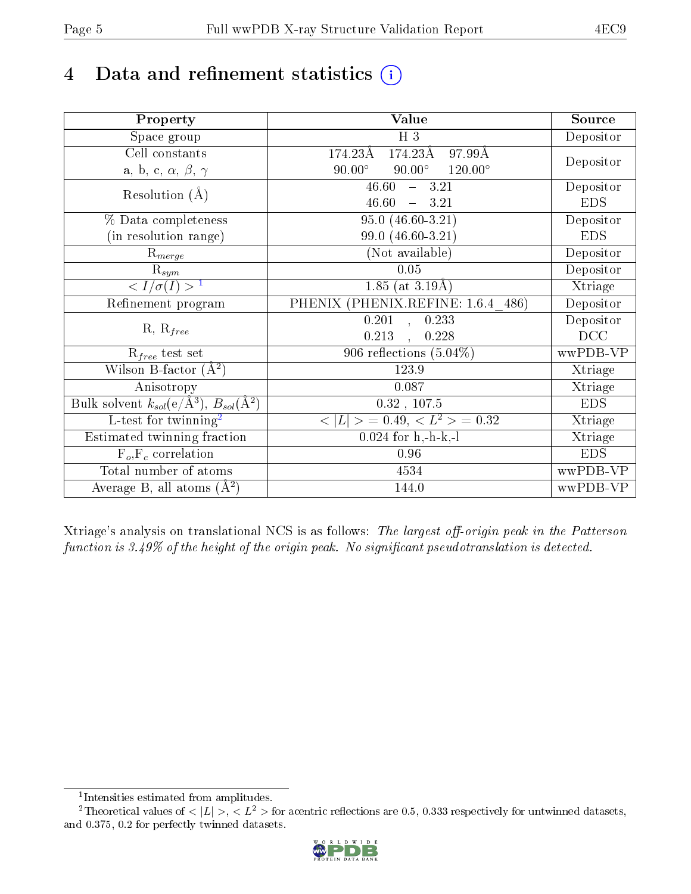## 4 Data and refinement statistics  $(i)$

| Property                                                             | Value                                                         | Source     |
|----------------------------------------------------------------------|---------------------------------------------------------------|------------|
| Space group                                                          | $H_3$                                                         | Depositor  |
| Cell constants                                                       | $174.23\text{\AA}$<br>$174.23\text{\AA}$<br>$97.99\text{\AA}$ |            |
| a, b, c, $\alpha$ , $\beta$ , $\gamma$                               | $90.00^\circ$<br>$90.00^\circ$<br>$120.00^{\circ}$            | Depositor  |
| Resolution $(A)$                                                     | 46.60<br>$-3.21$                                              | Depositor  |
|                                                                      | 46.60<br>$-3.21$                                              | <b>EDS</b> |
| % Data completeness                                                  | $95.0(46.60-3.21)$                                            | Depositor  |
| (in resolution range)                                                | 99.0 (46.60-3.21)                                             | <b>EDS</b> |
| $R_{merge}$                                                          | (Not available)                                               | Depositor  |
| $\mathrm{R}_{sym}$                                                   | 0.05                                                          | Depositor  |
| $\sqrt{I/\sigma(I)} > 1$                                             | $1.85$ (at 3.19Å)                                             | Xtriage    |
| Refinement program                                                   | PHENIX (PHENIX.REFINE: 1.6.4 486)                             | Depositor  |
|                                                                      | $\overline{0.201}$ ,<br>0.233                                 | Depositor  |
| $R, R_{free}$                                                        | 0.213<br>0.228<br>$\overline{a}$                              | DCC        |
| $\mathcal{R}_{free}$ test set                                        | 906 reflections $(5.04\%)$                                    | wwPDB-VP   |
| Wilson B-factor $(A^2)$                                              | 123.9                                                         | Xtriage    |
| Anisotropy                                                           | 0.087                                                         | Xtriage    |
| Bulk solvent $k_{sol}(e/\mathring{A}^3)$ , $B_{sol}(\mathring{A}^2)$ | $0.32$ , $107.5$                                              | <b>EDS</b> |
| L-test for twinning <sup>2</sup>                                     | $< L >$ = 0.49, $< L2$ > = 0.32                               | Xtriage    |
| Estimated twinning fraction                                          | $0.024$ for h,-h-k,-l                                         | Xtriage    |
| $F_o, F_c$ correlation                                               | 0.96                                                          | <b>EDS</b> |
| Total number of atoms                                                | 4534                                                          | wwPDB-VP   |
| Average B, all atoms $(A^2)$                                         | 144.0                                                         | wwPDB-VP   |

Xtriage's analysis on translational NCS is as follows: The largest off-origin peak in the Patterson function is  $3.49\%$  of the height of the origin peak. No significant pseudotranslation is detected.

<sup>&</sup>lt;sup>2</sup>Theoretical values of  $\langle |L| \rangle$ ,  $\langle L^2 \rangle$  for acentric reflections are 0.5, 0.333 respectively for untwinned datasets, and 0.375, 0.2 for perfectly twinned datasets.



<span id="page-4-1"></span><span id="page-4-0"></span><sup>1</sup> Intensities estimated from amplitudes.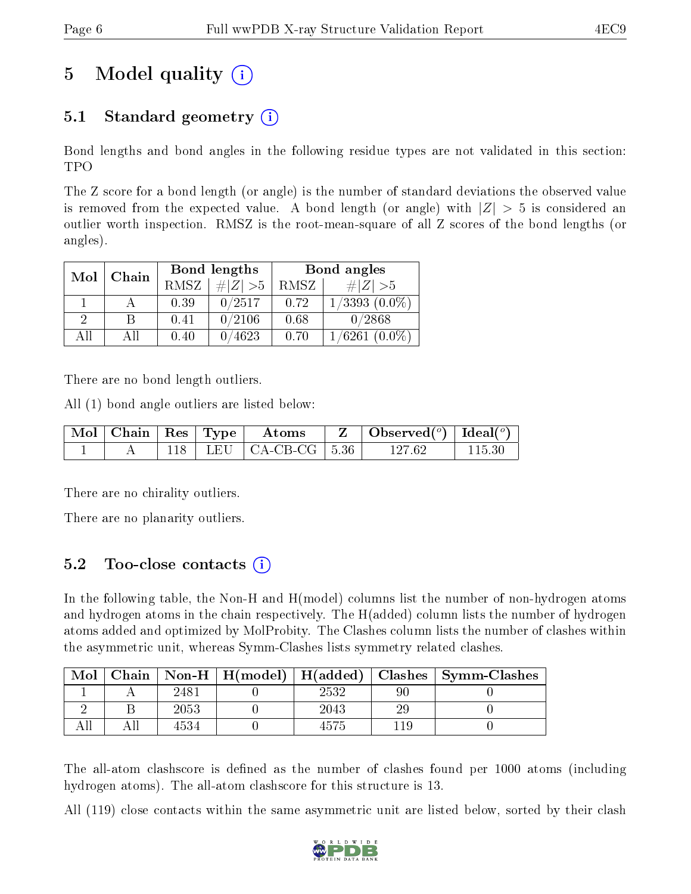## 5 Model quality  $(i)$

### 5.1 Standard geometry  $(i)$

Bond lengths and bond angles in the following residue types are not validated in this section: TPO

The Z score for a bond length (or angle) is the number of standard deviations the observed value is removed from the expected value. A bond length (or angle) with  $|Z| > 5$  is considered an outlier worth inspection. RMSZ is the root-mean-square of all Z scores of the bond lengths (or angles).

| Mol | Chain |             | Bond lengths | Bond angles |                    |  |
|-----|-------|-------------|--------------|-------------|--------------------|--|
|     |       | <b>RMSZ</b> | $\# Z  > 5$  | RMSZ        | # $ Z  > 5$        |  |
|     |       | 0.39        | 0/2517       | 0.72        | $1/3393$ $(0.0\%)$ |  |
| 2   | R     | 0.41        | 0/2106       | 0.68        | 0/2868             |  |
| ΑH  | ΑH    | 0.40        | 0/4623       | 0.70        | $1/6261(0.0\%)$    |  |

There are no bond length outliers.

All (1) bond angle outliers are listed below:

|  |  | Mol   Chain   Res   Type   Atoms | $Z \parallel$ Observed( <sup>o</sup> )   Ideal( <sup>o</sup> ) |        |
|--|--|----------------------------------|----------------------------------------------------------------|--------|
|  |  | 118   LEU   CA-CB-CG   5.36      | 127.62                                                         | 115 30 |

There are no chirality outliers.

There are no planarity outliers.

#### 5.2 Too-close contacts (i)

In the following table, the Non-H and H(model) columns list the number of non-hydrogen atoms and hydrogen atoms in the chain respectively. The H(added) column lists the number of hydrogen atoms added and optimized by MolProbity. The Clashes column lists the number of clashes within the asymmetric unit, whereas Symm-Clashes lists symmetry related clashes.

| Mol |      |      |    | Chain   Non-H   H(model)   H(added)   Clashes   Symm-Clashes |
|-----|------|------|----|--------------------------------------------------------------|
|     | 2481 | 2532 |    |                                                              |
|     | 2053 | 2043 | 29 |                                                              |
|     | 4534 |      |    |                                                              |

The all-atom clashscore is defined as the number of clashes found per 1000 atoms (including hydrogen atoms). The all-atom clashscore for this structure is 13.

All (119) close contacts within the same asymmetric unit are listed below, sorted by their clash

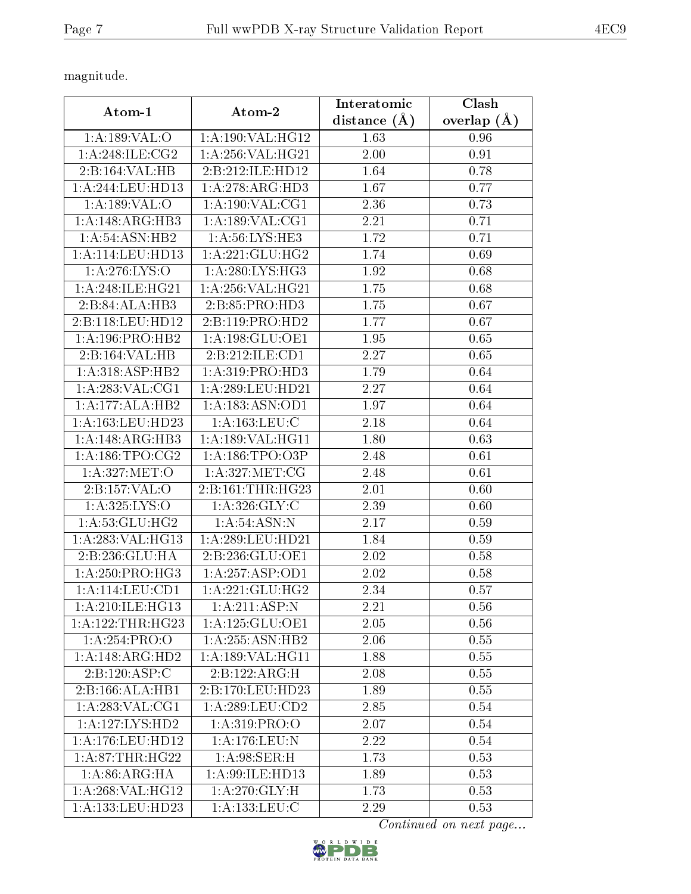magnitude.

| Atom-1                              | Interatomic<br>Atom-2 |                     | Clash         |
|-------------------------------------|-----------------------|---------------------|---------------|
|                                     |                       | $(\AA)$<br>distance | overlap $(A)$ |
| 1: A: 189: VAL: O                   | 1:A:190:VAL:HG12      | 1.63                | 0.96          |
| 1: A:248: ILE: CG2                  | 1: A:256: VAL:HG21    | 2.00                | 0.91          |
| 2:B:164:VAL:HB                      | 2:B:212:ILE:HD12      | 1.64                | 0.78          |
| 1: A:244:LEU:HD13                   | 1:A:278:ARG:HD3       | 1.67                | 0.77          |
| 1: A: 189: VAL: O                   | 1: A:190: VAL:CG1     | 2.36                | 0.73          |
| 1:A:148:ARG:HB3                     | 1: A:189: VAL:CG1     | 2.21                | 0.71          |
| 1: A:54: ASN:HB2                    | 1: A:56: LYS: HE3     | 1.72                | 0.71          |
| 1: A:114: LEU: HD13                 | 1:A:221:GLU:HG2       | 1.74                | 0.69          |
| 1: A:276: LYS:O                     | 1: A:280:LYS:HG3      | 1.92                | 0.68          |
| 1:A:248:ILE:HG21                    | 1:A:256:VAL:HG21      | 1.75                | 0.68          |
| 2:B:84:ALA:HB3                      | 2: B: 85: PRO: HD3    | 1.75                | 0.67          |
| 2:B:118:LEU:HD12                    | 2:B:119:PRO:HD2       | 1.77                | 0.67          |
| 1: A:196: PRO:HB2                   | 1: A: 198: GLU: OE1   | 1.95                | 0.65          |
| $2:B:164:\overline{VAL:HB}$         | 2:B:212:ILE:CD1       | 2.27                | 0.65          |
| 1: A:318: ASP:HB2                   | 1: A: 319: PRO: HD3   | 1.79                | 0.64          |
| 1: A:283: VAL:CG1                   | 1:A:289:LEU:HD21      | 2.27                | 0.64          |
| 1:A:177:ALA:HB2                     | 1: A: 183: ASN: OD1   | 1.97                | 0.64          |
| 1: A: 163: LEU: HD23                | 1: A: 163: LEU: C     | 2.18                | 0.64          |
| 1: A:148: ARG:HB3                   | 1:A:189:VAL:HG11      | 1.80                | 0.63          |
| 1: A: 186: TPO: CG2                 | 1:A:186:TPO:O3P       | 2.48                | 0.61          |
| 1: A:327: MET:O                     | 1: A:327: MET:CG      | 2.48                | 0.61          |
| 2:B:157:VAL:O                       | 2:B:161:THR:HG23      | 2.01                | 0.60          |
| 1: A: 325: LYS: O                   | 1: A:326: GLY:C       | 2.39                | 0.60          |
| 1: A:53: GLU: HG2                   | 1: A:54: ASN: N       | 2.17                | 0.59          |
| 1:A:283:VAL:HG13                    | 1:A:289:LEU:HD21      | 1.84                | 0.59          |
| 2:B:236:GLU:HA                      | 2:B:236:GLU:OE1       | 2.02                | 0.58          |
| 1:A:250:PRO:H <sub>G3</sub>         | 1: A: 257: ASP:OD1    | 2.02                | 0.58          |
| 1:A:114:LEU:CD1                     | 1:A:221:GLU:HG2       | 2.34                | 0.57          |
| 1: A:210: ILE: HG13                 | 1:A:211:ASP:N         | 2.21                | 0.56          |
| 1: A: 122: THR: HG23                | 1:A:125:GLU:OE1       | 2.05                | 0.56          |
| 1:A:254:PRO:O                       | 1: A:255: ASN:HB2     | 2.06                | 0.55          |
| $1:A:148:\overline{\text{ARG:HD2}}$ | 1: A: 189: VAL: HG11  | 1.88                | 0.55          |
| 2:B:120:ASP:C                       | 2:B:122:ARG:H         | 2.08                | 0.55          |
| 2:B:166:ALA:HB1                     | 2:B:170:LEU:HD23      | 1.89                | 0.55          |
| 1:A:283:VAL:CG1                     | 1: A:289:LEU:CD2      | 2.85                | 0.54          |
| 1:A:127:LYS:HD2                     | 1: A:319: PRO:O       | 2.07                | 0.54          |
| 1:A:176:LEU:HD12                    | 1:A:176:LEU:N         | 2.22                | 0.54          |
| 1: A:87:THR:HG22                    | 1: A:98: SER:H        | 1.73                | 0.53          |
| 1: A:86: ARG: HA                    | 1:A:99:ILE:HD13       | 1.89                | 0.53          |
| 1:A:268:VAL:HG12                    | 1: A:270: GLY: H      | 1.73                | 0.53          |
| 1:A:133:LEU:HD23                    | 1: A: 133: LEU: C     | 2.29                | 0.53          |

Continued on next page...

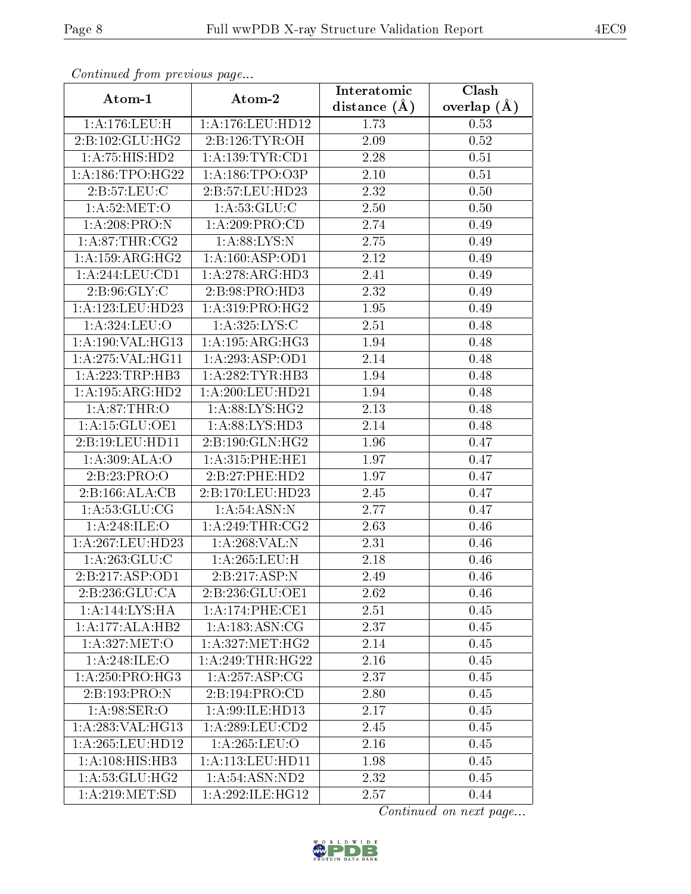| Communa from previous page |                             | Interatomic      | $\overline{\text{Clash}}$ |
|----------------------------|-----------------------------|------------------|---------------------------|
| Atom-1                     | Atom-2                      | distance $(\AA)$ | overlap $(\AA)$           |
| 1:A:176:LEU:H              | 1:A:176:LEU:HD12            | 1.73             | 0.53                      |
| 2:B:102:GLU:HG2            | 2:B:126:TYR:OH              | 2.09             | 0.52                      |
| 1:A:75:HIS:HD2             | 1: A: 139: TYR: CD1         | $2.28\,$         | 0.51                      |
| 1: A: 186: TPO: HG22       | 1: A: 186: TPO: O3P         | 2.10             | 0.51                      |
| 2:B:57:LEU:C               | 2:Bi:57:LEU:HD23            | 2.32             | 0.50                      |
| 1: A:52:MET:O              | 1: A:53: GLU: C             | 2.50             | 0.50                      |
| 1:A:208:PRO:N              | $1:A:209:PRO:\overline{CD}$ | 2.74             | 0.49                      |
| 1: A:87:THR:CG2            | 1: A:88: LYS: N             | 2.75             | 0.49                      |
| 1:A:159:ARG:HG2            | 1: A: 160: ASP: OD1         | 2.12             | 0.49                      |
| 1:A:244:LEU:CD1            | 1:A:278:ARG:HD3             | 2.41             | 0.49                      |
| 2:B:96:GLY:C               | 2:B:98:PRO:HD3              | 2.32             | 0.49                      |
| $1:$ A:123:LEU:HD23        | 1:A:319:PRO:HG2             | 1.95             | 0.49                      |
| 1:A:324:LEU:O              | 1:A:325:LYS:C               | 2.51             | 0.48                      |
| 1:A:190:VAL:HG13           | 1:A:195:ARG:HG3             | 1.94             | 0.48                      |
| 1:A:275:VAL:HG11           | 1:A:293:ASP:OD1             | 2.14             | 0.48                      |
| 1:A:223:TRP:HB3            | 1: A:282:TYR:HB3            | 1.94             | 0.48                      |
| 1:A:195:ARG:HD2            | 1:A:200:LEU:HD21            | 1.94             | 0.48                      |
| 1: A:87:THR:O              | 1: A:88: LYS: HG2           | 2.13             | 0.48                      |
| 1: A:15: GLU:OE1           | 1:A:88:LYS:HD3              | 2.14             | 0.48                      |
| 2:B:19:LEU:HD11            | 2:B:190:GLN:HG2             | 1.96             | 0.47                      |
| 1:A:309:ALA:O              | 1: A:315:PHE:HE1            | 1.97             | 0.47                      |
| 2:B:23:PRO:O               | 2:B:27:PHE:HD2              | 1.97             | 0.47                      |
| 2:B:166:ALA:CB             | 2:B:170:LEU:HD23            | 2.45             | 0.47                      |
| 1: A: 53: GLU: CG          | 1: A:54: ASN: N             | 2.77             | 0.47                      |
| 1:A:248:ILE:O              | 1: A:249:THR:CG2            | 2.63             | 0.46                      |
| 1:A:267:LEU:HD23           | 1:A:268:VAL:N               | 2.31             | 0.46                      |
| 1: A:263: GLU:C            | 1: A:265:LEU:H              | 2.18             | 0.46                      |
| 2:B:217:ASP:OD1            | 2:B:217:ASP:N               | 2.49             | 0.46                      |
| 2:B:236:GLU:CA             | 2:B:236:GLU:OE1             | 2.62             | 0.46                      |
| 1:A:144:LYS:HA             | 1:A:174:PHE:CE1             | 2.51             | 0.45                      |
| 1:A:177:ALA:HB2            | 1: A: 183: ASN: CG          | 2.37             | 0.45                      |
| 1: A:327: MET:O            | 1: A:327: MET:HG2           | 2.14             | 0.45                      |
| 1: A:248: ILE:O            | 1: A:249:THR:HG22           | 2.16             | 0.45                      |
| 1: A:250: PRO:HG3          | 1:A:257:ASP:CG              | 2.37             | 0.45                      |
| 2:B:193:PRO:N              | 2:B:194:PRO:CD              | 2.80             | 0.45                      |
| 1: A:98: SER:O             | 1:A:99:ILE:HD13             | 2.17             | 0.45                      |
| 1: A:283: VAL:HG13         | 1:A:289:LEU:CD2             | 2.45             | 0.45                      |
| 1:A:265:LEU:HD12           | 1: A:265:LEU:O              | 2.16             | 0.45                      |
| 1:A:108:HIS:HB3            | 1: A: 113: LEU: HD11        | 1.98             | 0.45                      |
| 1: A:53: GLU: HG2          | 1:A:54:ASN:ND2              | 2.32             | 0.45                      |
| 1: A:219: MET:SD           | 1:A:292:ILE:HG12            | 2.57             | 0.44                      |

Continued from previous page.

Continued on next page...

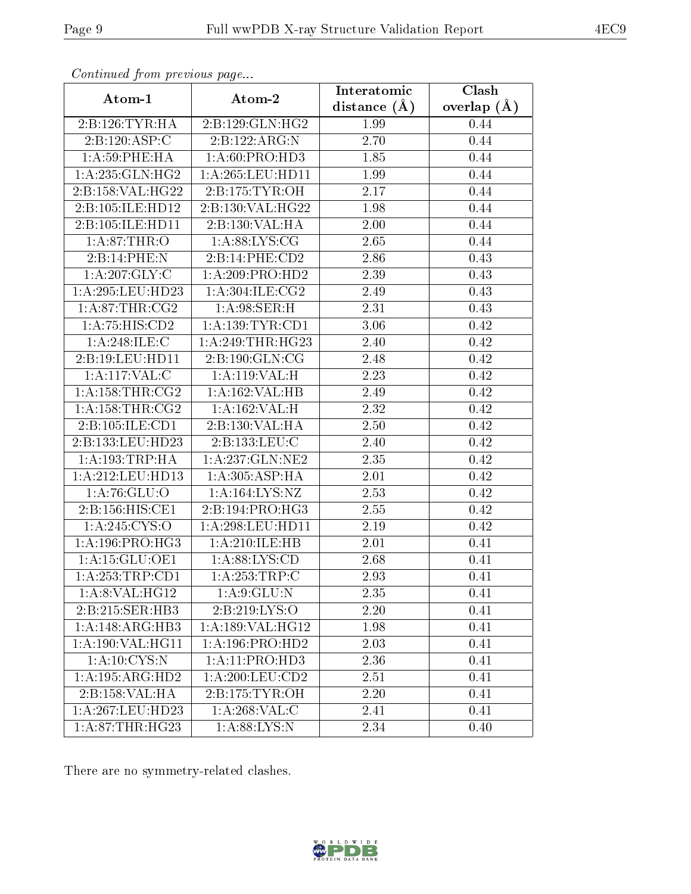| Continued from previous page |                                 | Interatomic    | Clash           |
|------------------------------|---------------------------------|----------------|-----------------|
| Atom-1                       | Atom-2                          | distance $(A)$ | overlap $(\AA)$ |
| 2:B:126:TYR:HA               | 2: B: 129: GLN: HG2             | 1.99           | 0.44            |
| 2:B:120:ASP:C                | 2: B: 122: ARG: N               | 2.70           | 0.44            |
| 1: A:59:PHE:HA               | 1:A:60:PRO:HD3                  | 1.85           | 0.44            |
| 1: A:235: GLN: HG2           | 1: A:265:LEU:HD11               | 1.99           | 0.44            |
| 2:B:158:VAL:HG22             | 2:B:175:TYR:OH                  | 2.17           | 0.44            |
| 2:B:105:ILE:HD12             | 2:B:130:VAL:HG22                | 1.98           | 0.44            |
| 2:B:105:ILE:HD11             | 2:B:130:VAL:HA                  | 2.00           | 0.44            |
| 1:A:87:THR:O                 | 1: A:88: LYS: CG                | 2.65           | 0.44            |
| 2:B:14:PHE:N                 | 2:B:14:PHE:CD2                  | 2.86           | 0.43            |
| 1: A:207: GLY: C             | 1:A:209:PRO:HD2                 | 2.39           | 0.43            |
| 1:A:295:LEU:HD23             | 1: A:304: ILE: CG2              | 2.49           | 0.43            |
| 1: A:87:THR:CG2              | 1: A:98: SER:H                  | 2.31           | 0.43            |
| 1:A:75:HIS:CD2               | 1: A: 139: TYR: CD1             | 3.06           | 0.42            |
| 1:A:248:ILE:C                | 1:A:249:THR:HG23                | 2.40           | 0.42            |
| 2:B:19:LEU:HD11              | $2: B: 190: GLN: \overline{CG}$ | 2.48           | 0.42            |
| 1:A:117:VAL:C                | 1:A:119:VAL:H                   | 2.23           | 0.42            |
| 1: A: 158: THR: CG2          | 1:A:162:VAL:HB                  | 2.49           | 0.42            |
| 1: A: 158: THR: CG2          | 1:A:162:VAL:H                   | 2.32           | 0.42            |
| 2:B:105:ILE:CD1              | 2:B:130:VAL:HA                  | 2.50           | 0.42            |
| 2:B:133:LEU:HD23             | 2:B:133:LEU:C                   | 2.40           | 0.42            |
| 1: A: 193: TRP: HA           | 1: A:237: GLN:NE2               | 2.35           | 0.42            |
| 1:A:212:LEU:HD13             | 1:A:305:ASP:HA                  | 2.01           | 0.42            |
| 1: A:76: GLU:O               | 1:A:164:LYS:NZ                  | 2.53           | 0.42            |
| 2:B:156:HIS:CE1              | 2:B:194:PRO:HG3                 | 2.55           | 0.42            |
| 1:A:245:CYS:O                | 1: A:298:LEU:HD11               | 2.19           | 0.42            |
| 1: A:196:PRO:HG3             | 1:A:210:ILE:HB                  | 2.01           | 0.41            |
| 1:A:15:GLU:OE1               | 1: A:88: LYS:CD                 | 2.68           | 0.41            |
| 1:A:253:TRP:CD1              | 1:A:253:TRP:C                   | 2.93           | 0.41            |
| 1:A:8:VAL:HG12               | 1: A:9: GLU:N                   | 2.35           | 0.41            |
| 2:B:215:SER:HB3              | 2:B:219:LYS:O                   | 2.20           | 0.41            |
| 1:A:148:ARG:HB3              | 1:A:189:VAL:HG12                | 1.98           | 0.41            |
| 1:A:190:VAL:HG11             | 1:A:196:PRO:HD2                 | 2.03           | 0.41            |
| 1: A: 10: CYS:N              | 1:A:11:PRO:HD3                  | 2.36           | 0.41            |
| 1: A: 195: ARG: HD2          | 1:A:200:LEU:CD2                 | 2.51           | 0.41            |
| 2:B:158:VAL:HA               | 2: B: 175: TYR: OH              | 2.20           | 0.41            |
| 1:A:267:LEU:HD23             | 1: A:268: VAL:C                 | 2.41           | 0.41            |
| 1: A:87:THR:HG23             | 1: A:88: LYS: N                 | 2.34           | 0.40            |

Continued from previous page.

There are no symmetry-related clashes.

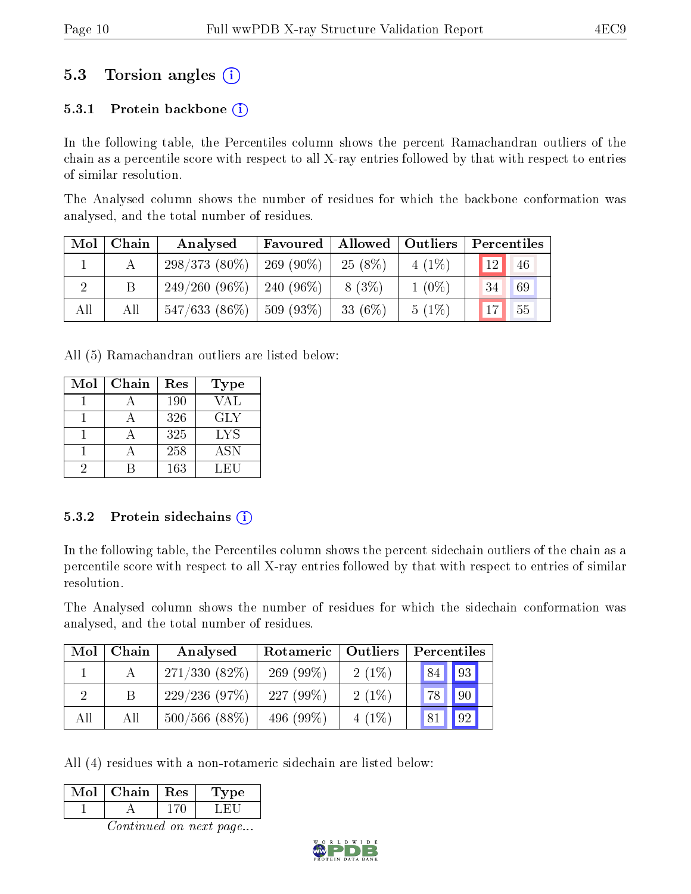### 5.3 Torsion angles (i)

#### 5.3.1 Protein backbone  $(i)$

In the following table, the Percentiles column shows the percent Ramachandran outliers of the chain as a percentile score with respect to all X-ray entries followed by that with respect to entries of similar resolution.

The Analysed column shows the number of residues for which the backbone conformation was analysed, and the total number of residues.

| $\bf{Mol}$ | Chain | Analysed                     | Favoured     | Allowed   | Outliers | Percentiles |    |
|------------|-------|------------------------------|--------------|-----------|----------|-------------|----|
|            |       | $298/373(80\%)$              | 269 (90\%)   | $25(8\%)$ | $4(1\%)$ | 12          | 46 |
|            |       | $249/260(96\%)$   240 (96\%) |              | 8 (3\%)   | $1(0\%)$ | 34          | 69 |
| All        | All   | $547/633(86\%)$              | $ 509(93\%)$ | 33 (6\%)  | $5(1\%)$ | 17          | 55 |

All (5) Ramachandran outliers are listed below:

| Mol | Chain | Res | <b>Type</b> |
|-----|-------|-----|-------------|
|     |       | 190 | VAL         |
|     |       | 326 | <b>GLY</b>  |
|     |       | 325 | LYS         |
|     |       | 258 | <b>ASN</b>  |
| ٠,  |       | 163 | LEU         |

#### 5.3.2 Protein sidechains  $(i)$

In the following table, the Percentiles column shows the percent sidechain outliers of the chain as a percentile score with respect to all X-ray entries followed by that with respect to entries of similar resolution.

The Analysed column shows the number of residues for which the sidechain conformation was analysed, and the total number of residues.

| Mol | Chain | Rotameric<br>Outliers<br>Analysed |              | Percentiles |    |    |
|-----|-------|-----------------------------------|--------------|-------------|----|----|
|     |       | $271/330(82\%)$                   | $269(99\%)$  | $2(1\%)$    | 84 | 93 |
|     |       | 229/236(97%)                      | $227(99\%)$  | $2(1\%)$    | 78 | 90 |
| All | All   | $500/566$ (88%)                   | 496 $(99\%)$ | $4(1\%)$    | 81 | 92 |

All (4) residues with a non-rotameric sidechain are listed below:

| Mol | Chain | $\perp$ Res | Type |
|-----|-------|-------------|------|
|     |       |             |      |
|     |       |             |      |

Continued on next page...

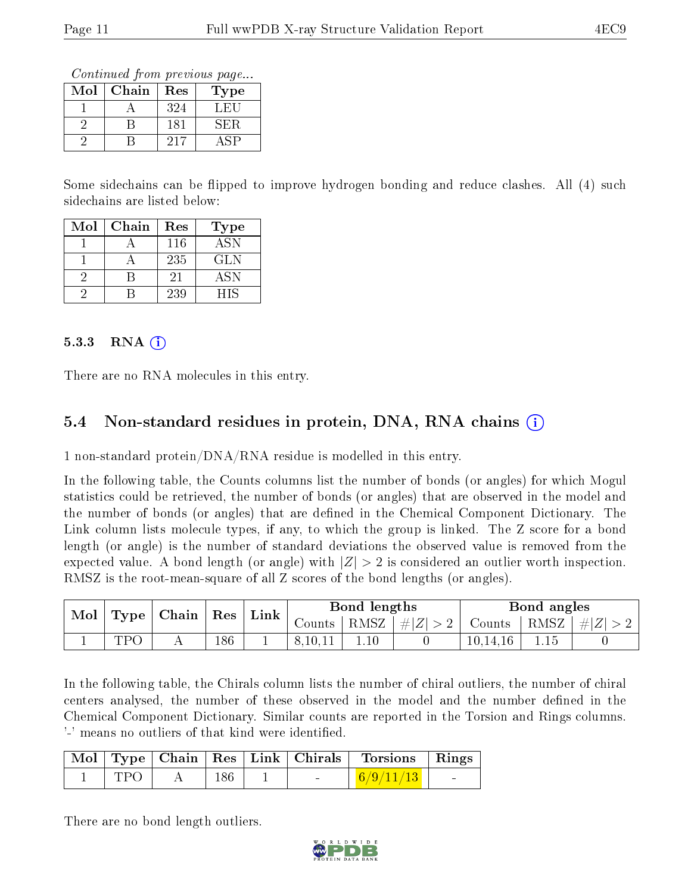Continued from previous page...

| Mol | Chain | Res | Type |
|-----|-------|-----|------|
|     |       | 324 | ∴H∶  |
|     |       | 181 | SER  |
|     |       | 217 |      |

Some sidechains can be flipped to improve hydrogen bonding and reduce clashes. All (4) such sidechains are listed below:

| $\operatorname{Mol}$ | Chain | Res | Type       |
|----------------------|-------|-----|------------|
|                      |       | 116 | <b>ASN</b> |
|                      |       | 235 | GLN        |
|                      |       | 21  | <b>ASN</b> |
|                      |       | 239 | НIS        |

#### 5.3.3 RNA  $(i)$

There are no RNA molecules in this entry.

#### 5.4 Non-standard residues in protein, DNA, RNA chains (i)

1 non-standard protein/DNA/RNA residue is modelled in this entry.

In the following table, the Counts columns list the number of bonds (or angles) for which Mogul statistics could be retrieved, the number of bonds (or angles) that are observed in the model and the number of bonds (or angles) that are dened in the Chemical Component Dictionary. The Link column lists molecule types, if any, to which the group is linked. The Z score for a bond length (or angle) is the number of standard deviations the observed value is removed from the expected value. A bond length (or angle) with  $|Z| > 2$  is considered an outlier worth inspection. RMSZ is the root-mean-square of all Z scores of the bond lengths (or angles).

|  | Chain  <br>Mol<br>Type |  | $\mid$ Res $\mid$ | $\mathop{\rm Link}\nolimits$ |         | Bond lengths          |        |                 | Bond angles |  |
|--|------------------------|--|-------------------|------------------------------|---------|-----------------------|--------|-----------------|-------------|--|
|  |                        |  |                   | Counts 1                     |         | $ RMSZ  \#  Z  > 2  $ | Counts | $ RMSZ  \#  Z $ |             |  |
|  | TDC                    |  | 186               |                              | 8,10,11 |                       |        | 10,14,16        |             |  |

In the following table, the Chirals column lists the number of chiral outliers, the number of chiral centers analysed, the number of these observed in the model and the number defined in the Chemical Component Dictionary. Similar counts are reported in the Torsion and Rings columns. '-' means no outliers of that kind were identified.

|      |     |                          | Mol Type Chain Res Link Chirals Torsions Rings |                          |
|------|-----|--------------------------|------------------------------------------------|--------------------------|
| TPO. | 186 | <b>Contract Contract</b> | $\mid \frac{6/9}{11/13} \mid$                  | <b>Contract Contract</b> |

There are no bond length outliers.

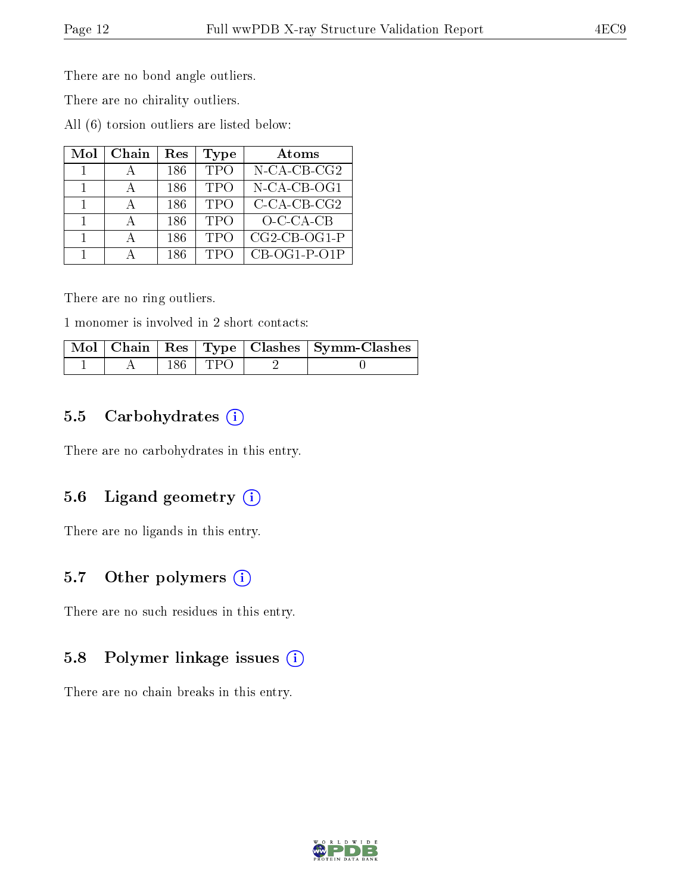There are no bond angle outliers.

There are no chirality outliers.

All (6) torsion outliers are listed below:

| Mol            | Chain | Res | Type       | Atoms          |
|----------------|-------|-----|------------|----------------|
|                |       | 186 | <b>TPO</b> | N-CA-CB-CG2    |
| $\overline{1}$ |       | 186 | <b>TPO</b> | $N$ -CA-CB-OG1 |
|                |       | 186 | <b>TPO</b> | $C$ -CA-CB-CG2 |
|                |       | 186 | <b>TPO</b> | $O-CA-CB$      |
|                |       | 186 | <b>TPO</b> | $CG2-CB-OG1-P$ |
|                |       | 186 | <b>TPC</b> | $CB-OG1-P-O1P$ |

There are no ring outliers.

1 monomer is involved in 2 short contacts:

|  |           | $\mid$ Mol $\mid$ Chain $\mid$ Res $\mid$ Type $\mid$ Clashes $\mid$ Symm-Clashes |
|--|-----------|-----------------------------------------------------------------------------------|
|  | 186   TPO |                                                                                   |

#### 5.5 Carbohydrates  $(i)$

There are no carbohydrates in this entry.

#### 5.6 Ligand geometry  $(i)$

There are no ligands in this entry.

#### 5.7 [O](https://www.wwpdb.org/validation/2017/XrayValidationReportHelp#nonstandard_residues_and_ligands)ther polymers  $(i)$

There are no such residues in this entry.

#### 5.8 Polymer linkage issues  $(i)$

There are no chain breaks in this entry.

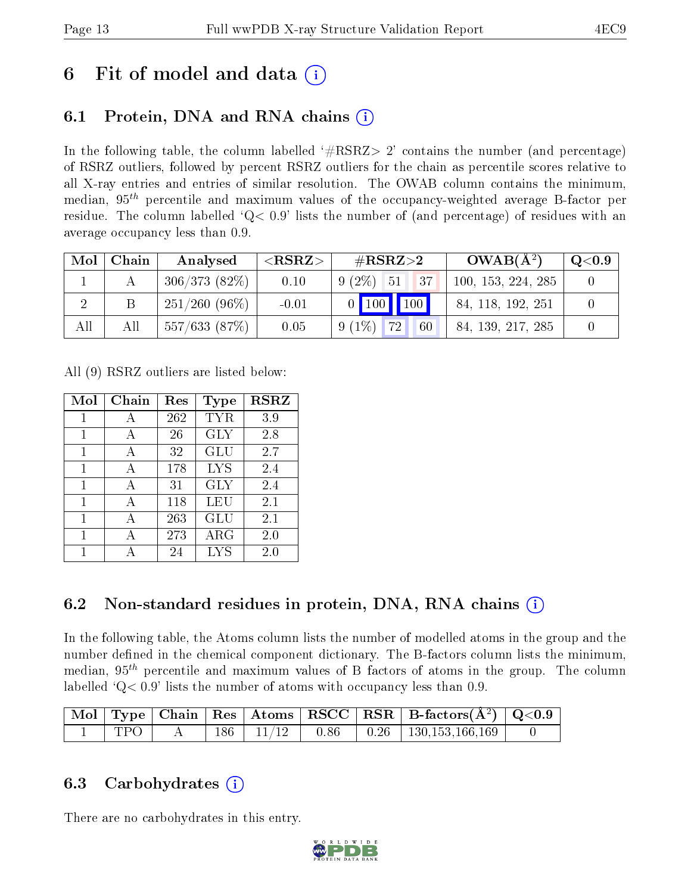## 6 Fit of model and data  $\left( \cdot \right)$

### 6.1 Protein, DNA and RNA chains (i)

In the following table, the column labelled  $#RSRZ>2'$  contains the number (and percentage) of RSRZ outliers, followed by percent RSRZ outliers for the chain as percentile scores relative to all X-ray entries and entries of similar resolution. The OWAB column contains the minimum, median,  $95<sup>th</sup>$  percentile and maximum values of the occupancy-weighted average B-factor per residue. The column labelled  $Q< 0.9$  lists the number of (and percentage) of residues with an average occupancy less than 0.9.

| Mol | Chain | Analysed        | ${ <\hspace{-1.5pt}{\mathrm{RSRZ}} \hspace{-1.5pt}>}$ | $\#\text{RSRZ}\text{>2}$ | $OWAB(A^2)$        | $\rm Q\textcolor{black}{<}0.9$ |
|-----|-------|-----------------|-------------------------------------------------------|--------------------------|--------------------|--------------------------------|
|     |       | 306/373(82%)    | 0.10                                                  | $9(2\%)$ 51<br>437       | 100, 153, 224, 285 |                                |
|     |       | $251/260(96\%)$ | $-0.01$                                               | 0   100   100            | 84, 118, 192, 251  |                                |
| All | All   | 557/633(87%)    | 0.05                                                  | $9(1\%)$ 72<br>60        | 84, 139, 217, 285  |                                |

All (9) RSRZ outliers are listed below:

| Mol | $Chain$ | Res | Type       | <b>RSRZ</b> |
|-----|---------|-----|------------|-------------|
| 1   | А       | 262 | <b>TYR</b> | 3.9         |
| 1   | А       | 26  | <b>GLY</b> | 2.8         |
| 1   | А       | 32  | <b>GLU</b> | 2.7         |
| 1   | A       | 178 | <b>LYS</b> | 2.4         |
| 1   | A       | 31  | <b>GLY</b> | 2.4         |
| 1   | А       | 118 | LEU        | 2.1         |
| 1   |         | 263 | GLU        | 2.1         |
| 1   | А       | 273 | $\rm{ARG}$ | 2.0         |
| 1   |         | 24  | <b>LYS</b> | $2.0\,$     |

### 6.2 Non-standard residues in protein, DNA, RNA chains  $(i)$

In the following table, the Atoms column lists the number of modelled atoms in the group and the number defined in the chemical component dictionary. The B-factors column lists the minimum, median,  $95<sup>th</sup>$  percentile and maximum values of B factors of atoms in the group. The column labelled  $Q< 0.9$ ' lists the number of atoms with occupancy less than 0.9.

|       |  |  | $\mid$ Mol $\mid$ Type $\mid$ Chain $\mid$ Res $\mid$ Atoms $\mid$ RSCC $\mid$ RSR $\mid$ B-factors( $A^2$ ) $\mid$ Q<0.9 |  |
|-------|--|--|---------------------------------------------------------------------------------------------------------------------------|--|
| TPO 1 |  |  | $186$   $11/12$   $0.86$   $0.26$   $130,153,166,169$                                                                     |  |

### 6.3 Carbohydrates (i)

There are no carbohydrates in this entry.